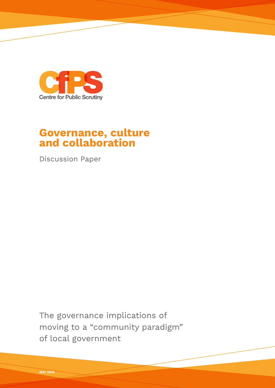

# **Governance, culture and collaboration**

Discussion Paper

The governance implications of moving to a "community paradigm" of local government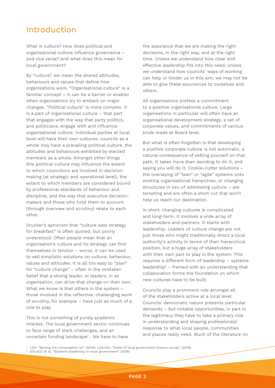## Introduction

What is culture? How does political and organisational culture influence governance – and vice versa? And what does this mean for local government?

By "culture", we mean the shared attitudes, behaviours and values that define how organisations work. "Organisational culture" is a familiar concept – it can be a barrier or enabler when organisations try to embark on major changes. "Political culture" is more complex. It is a part of organisational culture – that part that engages with the way that party politics, and politicians, engage with and influence organisational culture. Individual parties at local level will have their own cultures; councils as a whole may have a prevailing political culture, the attitudes and behaviours exhibited by elected members as a whole. Amongst other things this political culture may influence the extent to which councillors are involved in decisionmaking (at strategic and operational level), the extent to which members are considered bound by professional standards of behaviour and discipline, and the way that executive decisionmakers and those who hold them to account (through overview and scrutiny) relate to each other.

Drucker's aphorism that "culture eats strategy for breakfast" is often quoted, but poorly understood. Often people mean that an organisation's culture and its strategy can find themselves in tension – worse, it can be used to sell simplistic solutions on culture, behaviour, values and attitudes. It is all too easy to "plan" for "culture change" – often in the mistaken belief that a strong leader, or leaders, in an organisation, can drive that change on their own. What we know is that others in the system – those involved in the reflective, challenging work of scrutiny, for example – have just as much of a role to play.

This is not something of purely academic interest. The local government sector continues to face range of stark challenges, and an uncertain funding landscape1 . We have to have

the assurance that we are making the right decisions, in the right way, and at the right time. Unless we understand how clear and effective leadership fits into this need, unless we understand how councils' ways of working can help or hinder us in this aim, we may not be able to give these assurances to ourselves and others.

All organisations profess a commitment to a positive organisational culture. Large organisations in particular will often have an organisational development strategy, a set of corporate values, and commitments of various kinds made at Board level.

But what is often forgotten is that developing a positive corporate culture is not automatic, a natural consequence of setting yourself on that path. It takes more than deciding to do it, and saying you will do it. Cookie-cutter solutions – the overlaying of "lean" or "agile" systems onto existing organisational hierarchies, or changing structures in lieu of addressing culture – are tempting and are often a short cut that won't help us reach our destination.

In short, changing cultures is complicated, and long-term. It involves a wide array of stakeholders and partners. It starts with leadership. Leaders of culture change are not just those who might traditionally direct a local authority's activity in terms of their hierarchical position, but a huge array of stakeholders with their own part to play in the system. This requires a different form of leadership – systems leadership2 – framed with an understanding that collaboration forms the foundation on which new cultures have to be built.

Councils play a prominent role amongst all of the stakeholders active at a local level. Councils' democratic nature presents particular demands – but notable opportunities, in part in the legitimacy they have to take a primary role in understanding and shaping professionals' response to what local people, communities and places really need. Much of the literature on

<sup>1</sup> LGA: "Moving the conversation on" (2018); LGiU/MJ, "State of local government finance survey" (2019)

<sup>2</sup> SOLACE et al, "Systems leadership in local government" (2019)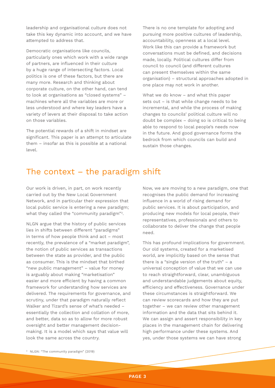leadership and organisational culture does not take this key dynamic into account, and we have attempted to address that.

Democratic organisations like councils, particularly ones which work with a wide range of partners, are influenced in their culture by a huge range of intersecting factors. Local politics is one of these factors, but there are many more. Research and thinking about corporate culture, on the other hand, can tend to look at organisations as "closed systems" – machines where all the variables are more or less understood and where key leaders have a variety of levers at their disposal to take action on those variables.

The potential rewards of a shift in mindset are significant. This paper is an attempt to articulate them – insofar as this is possible at a national level.

There is no one template for adopting and pursuing more positive cultures of leadership, accountability, openness at a local level. Work like this can provide a framework but conversations must be defined, and decisions made, locally. Political cultures differ from council to council (and different cultures can present themselves within the same organisation) – structural approaches adopted in one place may not work in another.

What we do know – and what this paper sets out – is that while change needs to be incremental, and while the process of making changes to councils' political culture will no doubt be complex – doing so is critical to being able to respond to local people's needs now in the future. And good governance forms the bedrock from which councils can build and sustain those changes.

## The context  $-$  the paradigm shift

Our work is driven, in part, on work recently carried out by the New Local Government Network, and in particular their expression that local public service is entering a new paradigm; what they called the "community paradigm"3.

NLGN argue that the history of public services lies in shifts between different "paradigms" in terms of how people think and act – most recently, the prevalence of a "market paradigm", the notion of public services as transactions between the state as provider, and the public as consumer. This is the mindset that birthed "new public management" – value for money is arguably about making "marketisation" easier and more efficient by having a common framework for understanding how services are delivered. The requirements for governance, and scrutiny, under that paradigm naturally reflect Walker and Tizard's sense of what's needed – essentially the collection and collation of more, and better, data so as to allow for more robust oversight and better management decisionmaking. It is a model which says that value will look the same across the country.

Now, we are moving to a new paradigm, one that recognises the public demand for increasing influence in a world of rising demand for public services. It is about participation, and producing new models for local people, their representatives, professionals and others to collaborate to deliver the change that people need.

This has profound implications for government. Our old systems, created for a marketised world, are implicitly based on the sense that there is a "single version of the truth"  $- a$ universal conception of value that we can use to reach straightforward, clear, unambiguous and understandable judgements about equity, efficiency and effectiveness. Governance under these circumstances is straightforward. We can review scorecards and how they are put together – we can review other management information and the data that sits behind it. We can assign and assert responsibility in key places in the management chain for delivering high performance under these systems. And yes, under those systems we can have strong

<sup>3</sup> NLGN: "The community paradigm" (2019)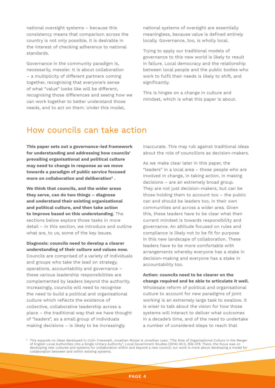national oversight systems – because this consistency means that comparison across the country is not only possible, it is desirable in the interest of checking adherence to national standards.

Governance in the community paradigm is, necessarily, messier. It is about collaboration – a multiplicity of different partners coming together, recognising that everyone's sense of what "value" looks like will be different, recognising those differences and seeing how we can work together to better understand those needs, and to act on them. Under this model,

national systems of oversight are essentially meaningless, because value is defined entirely locally. Governance, too, is wholly local.

Trying to apply our traditional models of governance to this new world is likely to result in failure. Local democracy and the relationship between local people and the public bodies who work to fulfil their needs is likely to shift, and significantly.

This is hinges on a change in culture and mindset, which is what this paper is about.

## How councils can take action

**This paper sets out a governance-led framework for understanding and addressing how councils' prevailing organisational and political culture may need to change in response as we move towards a paradigm of public service focused more on collaboration and deliberation4 .** 

**We think that councils, and the wider areas they serve, can do two things – diagnose and understand their existing organisational and political culture, and then take action to improve based on this understanding.** The sections below explore those tasks in more detail – in this section, we introduce and outline what are, to us, some of the key issues.

**Diagnosis: councils need to develop a clearer understanding of their culture and values now.** Councils are comprised of a variety of individuals and groups who take the lead on strategy, operations, accountability and governance – these various leadership responsibilities are complemented by leaders beyond the authority. Increasingly, councils will need to recognise the need to build a political and organisational culture which reflects the existence of collective, collaborative leadership across a place – the traditional way that we have thought of "leaders", as a small group of individuals making decisions – is likely to be increasingly

inaccurate. This may rub against traditional ideas about the role of councillors as decision-makers.

As we make clear later in this paper, the "leaders" in a local area – those people who are involved in change, in taking action, in making decisions – are an extremely broad group. They are not just decision-makers, but can be those holding them to account too – the public can and should be leaders too, in their own communities and across a wider area. Given this, these leaders have to be clear what their current mindset is towards responsibility and governance. An attitude focused on rules and compliance is likely not to be fit for purpose in this new landscape of collaboration. These leaders have to be more comfortable with arrangements whereby everyone has a stake in decision-making and everyone has a stake in accountability too.

**Action: councils need to be clearer on the change required and be able to articulate it well.**  Wholesale reform of political and organisational culture to account for new paradigms of joint working is an extremely large task to swallow. It is wiser to talk about the vision for how those systems will interact to deliver what outcomes in a decade's time, and of the need to undertake a number of considered steps to reach that

<sup>4</sup> This expands on ideas developed in Colin Cresswell, Jonathan Moizer & Jonathan Lean, "The Role of Organisational Culture in the Merger of English Local Authorities into a Single Unitary Authority", Local Government Studies (2014) 40:3, 356-379. There, the focus was on developing new cultures and systems for collaboration within and beyond a new council; our work is more about developing a model for collaboration between and within existing systems.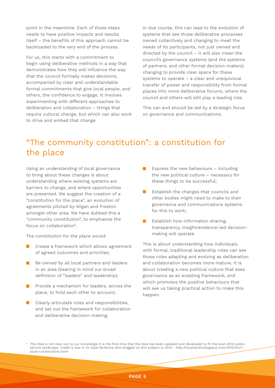point in the meantime. Each of those steps needs to have positive impacts and results itself – the benefits of this approach cannot be backloaded to the very end of the process.

For us, this starts with a commitment to begin using deliberative methods in a way that demonstrates how they will influence the way that the council formally makes decisions, accompanied by clear and understandable formal commitments that give local people, and others, the confidence to engage. It involves experimenting with different approaches to deliberation and collaboration – things that require cultural change, but which can also work to drive and embed that change.

In due course, this can lead to the evolution of systems that see those deliberative processes owned collectively and changing to meet the needs of its participants, not just owned and directed by the council – it will also mean the council's governance systems (and the systems of partners, and other formal decision-makers) changing to provide clear space for these systems to operate – a clear and unequivocal transfer of power and responsibility from formal places into more deliberative forums, where the council and others will still play a leading role.

This can and should be led by a strategic focus on governance and communications.

# "The community constitution": a constitution for the place

Using an understanding of local governance to bring about these changes is about understanding where existing systems are barriers to change, and where opportunities are presented. We suggest the creation of a "constitution for the place", an evolution of agreements piloted by Wigan and Preston amongst other area. We have dubbed this a "community constitution", to emphasise the focus on collaboration<sup>5</sup>

The constitution for the place would:

- **Create a framework which allows agreement** of agreed outcomes and priorities;
- Be owned by all local partners and leaders  $\mathcal{L}(\mathcal{A})$ in an area (bearing in mind our broad definition of "leaders" and leadership);
- Provide a mechanism for leaders, across the place, to hold each other to account;
- $\blacksquare$  Clearly articulate roles and responsibilities, and set out the framework for collaboration and deliberative decision-making;
- Express the new behaviours including the new political culture – necessary for these things to be successful;
- **Example 1** Establish the changes that councils and other bodies might need to make to their governance and communications systems for this to work;
- **Example 1** Establish how information sharing, transparency, insight/evidence-led decisionmaking will operate.

This is about understanding how individuals with formal, traditional leadership roles can see those roles adapting and evolving as deliberation and collaboration becomes more mature. It is about creating a new political culture that sees governance as an enabling framework, and which promotes the positive behaviours that will see us taking practical action to make this happen.

<sup>5</sup> This idea is not new, but to our knowledge it is the first time that the idea has been updated and developed to fit the post-2010 public service landscape. Credit is due to Dr Dave McKenna who blogged on this subject in 2010 - http://localopolis.blogspot.com/2010/04/1 local-constitutions.html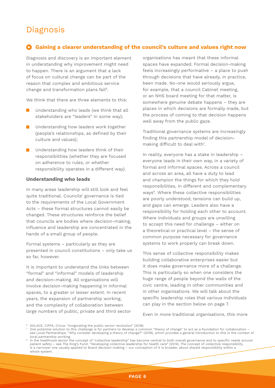# Diagnosis

## **Gaining a clearer understanding of the council's culture and values right now**

Diagnosis and discovery is an important element in understanding why improvement might need to happen. There is an argument that a lack of focus on cultural change can be part of the reason that complex and ambitious service change and transformation plans fail<sup>6</sup>.

We think that there are three elements to this:

- Understanding who leads (we think that all stakeholders are "leaders" in some way);
- **Understanding how leaders work together** (people's relationships, as defined by their culture and values);
- **Understanding how leaders think of their** responsibilities (whether they are focused on adherence to rules, or whether responsibility operates in a different way).

### **Understanding who leads**

In many areas leadership will still look and feel quite traditional. Councils' governance is tied to the requirements of the Local Government Acts – these formal structures cannot easily be changed. These structures reinforce the belief that councils are bodies where decision-making, influence and leadership are concentrated in the hands of a small group of people.

Formal systems – particularly as they are presented in council constitutions – only take us so far, however.

It is important to understand the links between "formal" and "informal" models of leadership and decision-making. All organisations will involve decision-making happening in informal spaces, to a greater or lesser extent. In recent years, the expansion of partnership working, and the complexity of collaboration between large numbers of public, private and third sector organisations has meant that these informal spaces have expanded. Formal decision-making feels increasingly performative – a place to push through decisions that have already, in practice, been made. No-one would seriously argue, for example, that a council Cabinet meeting, or an NHS board meeting for that matter, is somewhere genuine debate happens – they are places in which decisions are formally made, but the process of coming to that decision happens well away from the public gaze.

Traditional governance systems are increasingly finding this partnership model of decisionmaking difficult to deal with<sup>7</sup>.

In reality, everyone has a stake in leadership – everyone leads in their own way, in a variety of formal and informal spaces. Across a council and across an area, all have a duty to lead and champion the things for which they hold responsibilities, in different and complementary ways<sup>8</sup>. Where these collective responsibilities are poorly understood, tensions can build up, and gaps can emerge. Leaders also have a responsibility for holding each other to account. Where individuals and groups are unwilling to accept this need for challenge – either on a theoretical or practical level – the sense of common purpose necessary for governance systems to work properly can break down.

This sense of collective responsibility makes building collaborative enterprises easier but it does make governance more of a challenge. This is particularly so when one considers the huge range of people beyond the walls of the civic centre, leading in other communities and in other organisations. We will talk about the specific leadership roles that various individuals can play in the section below on page 7.

Even in more traditional organisations, this more

<sup>6</sup> SOLACE, CIPFA, Civica: "Invigorating the public sector revolution" (2018)

 $^\tau$  One potential solution to this challenge is for partners to develop a common "theory of change" to act as a foundation for collaboration – see Local Partnerships: "Why consider developing a theory of change?" (2018), which provides a general introduction to this in the context of local partnership working.<br>In the healthcare sector the concept of "collective leadership" has become central to both overall governance and to specific needs around

patient safety – see The King's Fund: "Developing collective leadership for health care" (2014). The concept of collective responsibility is a narrower one usually applied to Board decision-making – our conception of it is broader, about shared responsibility within a whole system.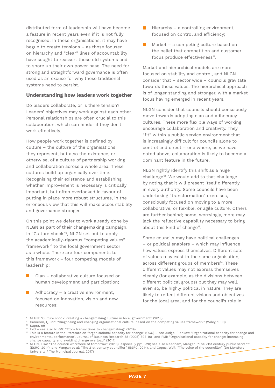distributed form of leadership will have become a feature in recent years even if it is not fully recognised. In these organisations, it may have begun to create tensions – as those focused on hierarchy and "clear" lines of accountability have sought to reassert those old systems and to shore up their own power base. The need for strong and straightforward governance is often used as an excuse for why these traditional systems need to persist.

#### **Understanding how leaders work together**

Do leaders collaborate, or is there tension? Leaders' objectives may work against each other. Personal relationships are often crucial to this collaboration, which can hinder if they don't work effectively.

How people work together is defined by culture – the culture of the organisations they represent, but also the existence, or otherwise, of a culture of partnership working and collaboration across a whole area. These cultures build up organically over time. Recognising their existence and establishing whether improvement is necessary is critically important, but often overlooked in favour of putting in place more robust structures, in the erroneous view that this will make accountability and governance stronger.

On this point we defer to work already done by NLGN as part of their changemaking campaign. In "Culture shock"9, NLGN set out to apply the academically-rigorous "competing values" framework<sup>10</sup> to the local government sector as a whole. There are four components to this framework – four competing models of leadership:

- **Clan collaborative culture focused on** human development and participation;
- $\blacksquare$  Adhocracy a creative environment, focused on innovation, vision and new resources;
- $\blacksquare$  Hierarchy a controlling environment, focused on control and efficiency;
- $\blacksquare$  Market a competing culture based on the belief that competition and customer focus produce effectiveness<sup>11</sup>.

Market and hierarchical models are more focused on stability and control, and NLGN consider that – sector wide – councils gravitate towards these values. The hierarchical approach is of longer standing and stronger, with a market focus having emerged in recent years.

NLGN consider that councils should consciously move towards adopting clan and adhocracy cultures. These more flexible ways of working encourage collaboration and creativity. They "fit" within a public service environment that is increasingly difficult for councils alone to control and direct – one where, as we have noted above, collaboration is likely to become a dominant feature in the future.

NLGN rightly identify this shift as a huge challenge<sup>12</sup>. We would add to that challenge by noting that it will present itself differently in every authority. Some councils have been undertaking "transformation" exercises, consciously focused on moving to a more collaborative, or flexible, or agile culture. Others are further behind; some, worryingly, more may lack the reflective capability necessary to bring about this kind of change<sup>13</sup>.

Some councils may have political challenges – or political enablers – which may influence how values express themselves. Different sets of values may exist in the same organisation, across different groups of members<sup>14</sup>. These different values may not express themselves cleanly (for example, as the divisions between different political groups) but they may well, even so, be highly political in nature. They are likely to reflect different visions and objectives for the local area, and for the council's role in

- <sup>10</sup> Cameron, Quinn: "Diagnosing and changing organisational culture: based on the competing values framework" (Wiley, 1999)
- <sup>11</sup> Supra, n9

<sup>9</sup> NLGN: "Culture shock: creating a changemaking culture in local government" (2018)

<sup>12</sup> Ibid – see also NLGN: "From transactions to changemaking" (2019)

<sup>13</sup> This is a feature in the literature on "organisational capacity for change" (OCC) – see Judge, Elenkov: "Organizational capacity for change and environmental performance", Journal of Business Research 58 (2005) 893-901 and PMI: "Organisational capacity for change: increasing change capacity and avoiding change overload" (2014)<br><sup>14</sup> NLGN LGA: "The council workforce of tomorrow" (2014)

<sup>14</sup> NLGN, LGA: "The council workforce of tomorrow" (2016), especially pp19-20; see also Needham, Mangan: "The 21st century public servant" (ESRC, 2014), and Mangan et al: "The 21st century councillor" (ESRC, 2014), and Copus, Wall: "The voice of the councillor" (De Montfort University / The Municipal Journal, 2017)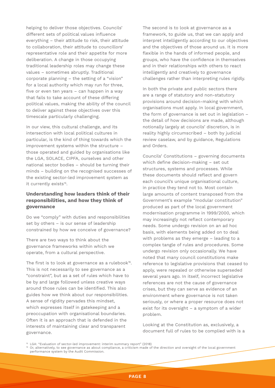helping to deliver those objectives. Councils' different sets of political values influence everything – their attitude to risk, their attitude to collaboration, their attitude to councillors' representative role and their appetite for more deliberation. A change in those occupying traditional leadership roles may change these values – sometimes abruptly. Traditional corporate planning – the setting of a "vision" for a local authority which may run for three, five or even ten years – can happen in a way that fails to take account of these differing political values, making the ability of the council to deliver against these objectives over this timescale particularly challenging.

In our view, this cultural challenge, and its intersection with local political cultures in particular, is the kind of thing towards which the improvement systems within the structure – those operated and guided by organisations like the LGA, SOLACE, CIPFA, ourselves and other national sector bodies – should be turning their minds – building on the recognised successes of the existing sector-led improvement system as it currently exists<sup>15</sup>.

## **Understanding how leaders think of their responsibilities, and how they think of governance**

Do we "comply" with duties and responsibilities set by others – is our sense of leadership constrained by how we conceive of governance?

There are two ways to think about the governance frameworks within which we operate, from a cultural perspective.

The first is to look at governance as a rulebook<sup>16</sup>. This is not necessarily to see governance as a "constraint", but as a set of rules which have to be by and large followed unless creative ways around those rules can be identified. This also guides how we think about our responsibilities. A sense of rigidity pervades this mindset, which expresses itself in gatekeeping and a preoccupation with organisational boundaries. Often it is an approach that is defended in the interests of maintaining clear and transparent governance.

The second is to look at governance as a framework, to guide us, that we can apply and interpret intelligently according to our objectives and the objectives of those around us. It is more flexible in the hands of informed people, and groups, who have the confidence in themselves and in their relationships with others to react intelligently and creatively to governance challenges rather than interpreting rules rigidly.

In both the private and public sectors there are a range of statutory and non-statutory provisions around decision-making with which organisations must apply. In local government, the form of governance is set out in legislation – the detail of how decisions are made, although notionally largely at councils' discretion, is in reality highly circumscribed – both by judicial review caselaw, and by guidance, Regulations and Orders.

Councils' Constitutions – governing documents which define decision-making – set out structures, systems and processes. While these documents should reflect and govern each council's unique organisational culture, in practice they tend not to. Most contain large amounts of content transposed from the Government's example "modular constitution" produced as part of the local government modernisation programme in 1999/2000, which may increasingly not reflect contemporary needs. Some undergo revision on an ad hoc basis, with elements being added on to deal with problems as they emerge – leading to a complex tangle of rules and procedures. Some undergo revision only occasionally. We have noted that many council constitutions make reference to legislative provisions that ceased to apply, were repealed or otherwise superseded several years ago. In itself, incorrect legislative references are not the cause of governance crises, but they can serve as evidence of an environment where governance is not taken seriously, or where a proper resource does not exist for its oversight – a symptom of a wider problem.

Looking at the Constitution as, exclusively, a document full of rules to be complied with is a

<sup>16</sup> Or, alternatively, to see governance as about compliance, a criticism made of the direction and oversight of the local government performance system by the Audit Commission.

<sup>&</sup>lt;sup>15</sup> LGA: "Evaluation of sector-led improvement: interim summary report" (2018)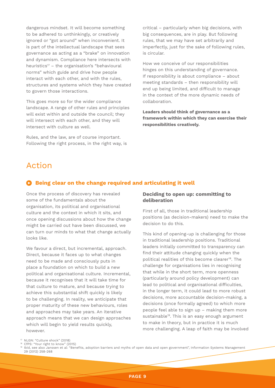dangerous mindset. It will become something to be adhered to unthinkingly, or creatively ignored or "got around" when inconvenient. It is part of the intellectual landscape that sees governance as acting as a "brake" on innovation and dynamism. Compliance here intersects with heuristics<sup>17</sup> – the organisation's "behavioural norms" which guide and drive how people interact with each other, and with the rules, structures and systems which they have created to govern those interactions.

This goes more so for the wider compliance landscape. A range of other rules and principles will exist within and outside the council; they will intersect with each other, and they will intersect with culture as well.

Rules, and the law, are of course important. Following the right process, in the right way, is

critical – particularly when big decisions, with big consequences, are in play. But following rules, that we may have set arbitrarily and imperfectly, just for the sake of following rules, is circular.

How we conceive of our responsibilities hinges on this understanding of governance. If responsibility is about compliance – about meeting standards – then responsibility will end up being limited, and difficult to manage in the context of the more dynamic needs of collaboration.

**Leaders should think of governance as a framework within which they can exercise their responsibilities creatively.** 

# Action

## **Being clear on the change required and articulating it well**

Once the process of discovery has revealed some of the fundamentals about the organisation, its political and organisational culture and the context in which it sits, and once opening discussions about how the change might be carried out have been discussed, we can turn our minds to what that change actually looks like.

We favour a direct, but incremental, approach. Direct, because it faces up to what changes need to be made and consciously puts in place a foundation on which to build a new political and organisational culture. Incremental, because it recognises that it will take time for that culture to mature, and because trying to achieve this substantial shift quickly is likely to be challenging. In reality, we anticipate that proper maturity of these new behaviours, roles and approaches may take years. An iterative approach means that we can design approaches which will begin to yield results quickly, however.

## **Deciding to open up: committing to deliberation**

First of all, those in traditional leadership positions (as decision-makers) need to make the decision to do this.

This kind of opening-up is challenging for those in traditional leadership positions. Traditional leaders initially committed to transparency can find their attitude changing quickly when the political realities of this become clearer<sup>18</sup>. The challenge for organisations lies in recognising that while in the short term, more openness (particularly around policy development) can lead to political and organisational difficulties, in the longer term, it could lead to more robust decisions, more accountable decision-making, a decisions (once formally agreed) to which more people feel able to sign up – making them more sustainable<sup>19</sup>. This is an easy enough argument to make in theory, but in practice it is much more challenging. A leap of faith may be involved

<sup>&</sup>lt;sup>17</sup> NLGN: "Culture shock" (2018) CfPS: "Your right to know" (2015)

<sup>19</sup> Ibid, see also Janssen et al: "Benefits, adoption barriers and myths of open data and open government", Information Systems Management 29 (2012) 258-268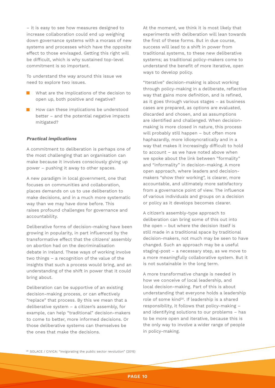– it is easy to see how measures designed to increase collaboration could end up weighing down governance systems with a morass of new systems and processes which have the opposite effect to those envisaged. Getting this right will be difficult, which is why sustained top-level commitment is so important.

To understand the way around this issue we need to explore two issues.

- What are the implications of the decision to open up, both positive and negative?
- $\blacksquare$  How can these implications be understood better – and the potential negative impacts mitigated?

#### **Practical implications**

A commitment to deliberation is perhaps one of the most challenging that an organisation can make because it involves consciously giving up power – pushing it away to other spaces.

A new paradigm in local government, one that focuses on communities and collaboration, places demands on us to use deliberation to make decisions, and in a much more systematic way than we may have done before. This raises profound challenges for governance and accountability.

Deliberative forms of decision-making have been growing in popularity, in part influenced by the transformative effect that the citizens' assembly on abortion had on the decriminalisation debate in Ireland. These ways of working involve two things – a recognition of the value of the insights that such a process would bring, and an understanding of the shift in power that it could bring about.

Deliberation can be supportive of an existing decision-making process, or can effectively "replace" that process. By this we mean that a deliberative system – a citizen's assembly, for example, can help "traditional" decision-makers to come to better, more informed decisions. Or those deliberative systems can themselves be the ones that make the decisions.

At the moment, we think it is most likely that experiments with deliberation will lean towards the first of these forms. But in due course, success will lead to a shift in power from traditional systems, to these new deliberative systems; as traditional policy-makers come to understand the benefit of more iterative, open ways to develop policy.

"Iterative" decision-making is about working through policy-making in a deliberate, reflective way that gains more definition, and is refined, as it goes through various stages – as business cases are prepared, as options are evaluated, discarded and chosen, and as assumptions are identified and challenged. When decisionmaking is more closed in nature, this process will probably still happen – but often more haphazardly, more idiosyncratically and in a way that makes it increasingly difficult to hold to account – as we have noted above when we spoke about the link between "formality" and "informality" in decision-making. A more open approach, where leaders and decisionmakers "show their working", is clearer, more accountable, and ultimately more satisfactory from a governance point of view. The influence of various individuals and groups on a decision or policy as it develops becomes clearer.

A citizen's assembly-type approach to deliberation can bring some of this out into the open – but where the decision itself is still made in a traditional space by traditional decision-makers, not much may be seen to have changed. Such an approach may be a useful staging-post – a necessary step, as we move to a more meaningfully collaborative system. But it is not sustainable in the long term.

A more transformative change is needed in how we conceive of local leadership, and local decision-making. Part of this is about understanding that everyone holds a leadership role of some kind<sup>20</sup>. If leadership is a shared responsibility, it follows that policy-making – and identifying solutions to our problems – has to be more open and iterative, because this is the only way to involve a wider range of people in policy-making.

<sup>20</sup> SOLACE / CIVICA: "Invigorating the public sector revolution" (2015)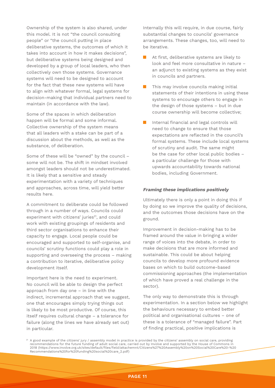Ownership of the system is also shared, under this model. It is not "the council consulting people" or "the council putting in place deliberative systems, the outcomes of which it takes into account in how it makes decisions", but deliberative systems being designed and developed by a group of local leaders, who then collectively own those systems. Governance systems will need to be designed to account for the fact that these new systems will have to align with whatever formal, legal systems for decision-making that individual partners need to maintain (in accordance with the law).

Some of the spaces in which deliberation happen will be formal and some informal. Collective ownership of the system means that all leaders with a stake can be part of a discussion about the methods, as well as the substance, of deliberation.

Some of these will be "owned" by the council – some will not be. The shift in mindset involved amongst leaders should not be underestimated. It is likely that a sensitive and steady experimentation with a variety of techniques and approaches, across time, will yield better results here.

A commitment to deliberate could be followed through in a number of ways. Councils could experiment with citizens' juries<sup>21</sup>, and could work with existing groupings of residents and third sector organisations to enhance their capacity to engage. Local people could be encouraged and supported to self-organise, and councils' scrutiny functions could play a role in supporting and overseeing the process – making a contribution to iterative, deliberative policy development itself.

Important here is the need to experiment. No council will be able to design the perfect approach from day one – in line with the indirect, incremental approach that we suggest, one that encourages simply trying things out is likely to be most productive. Of course, this itself requires cultural change – a tolerance for failure (along the lines we have already set out) in particular.

Internally this will require, in due course, fairly substantial changes to councils' governance arrangements. These changes, too, will need to be iterative.

- At first, deliberative systems are likely to look and feel more consultative in nature – an adjunct to existing systems as they exist in councils and partners.
- $\blacksquare$  This may involve councils making initial statements of their intentions in using these systems to encourage others to engage in the design of those systems – but in due course ownership will become collective;
- $\mathcal{L}^{\mathcal{L}}$ Internal financial and legal controls will need to change to ensure that those expectations are reflected in the council's formal systems. These include local systems of scrutiny and audit. The same might be the case for other local public bodies – a particular challenge for those with upwards accountability towards national bodies, including Government.

#### **Framing these implications positively**

Ultimately there is only a point in doing this if by doing so we improve the quality of decisions, and the outcomes those decisions have on the ground.

Improvement in decision-making has to be framed around the value in bringing a wider range of voices into the debate, in order to make decisions that are more informed and sustainable. This could be about helping councils to develop more profound evidence bases on which to build outcome-based commissioning approaches (the implementation of which have proved a real challenge in the sector).

The only way to demonstrate this is through experimentation. In a section below we highlight the behaviours necessary to embed better political and organisational cultures – one of these is a tolerance of "managed failure". Part of finding practical, positive implications is

 $^{21}$  A good example of the citizens' jury / assembly model in practice is provided by the citizens' assembly on social care, providing recommendations for the future funding of adult social care, carried out by Involve and supported by the House of Commons in 2018 (https://www.involve.org.uk/sites/default/files/field/attachemnt/Citizens%27%20Assembly%20on%20Social%20Care%20-%20 Recommendations%20for%20funding%20social%20care\_2.pdf)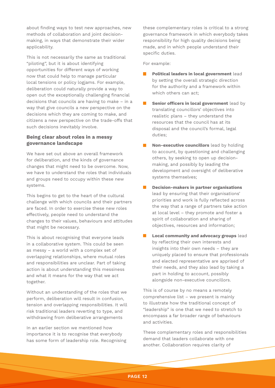about finding ways to test new approaches, new methods of collaboration and joint decisionmaking, in ways that demonstrate their wider applicability.

This is not necessarily the same as traditional "piloting", but it is about identifying opportunities for different ways of working now that could help to manage particular local tensions or policy logjams. For example, deliberation could naturally provide a way to open out the exceptionally challenging financial decisions that councils are having to make – in a way that give councils a new perspective on the decisions which they are coming to make, and citizens a new perspective on the trade-offs that such decisions inevitably involve.

## **Being clear about roles in a messy governance landscape**

We have set out above an overall framework for deliberation, and the kinds of governance changes that might need to be overcome. Now, we have to understand the roles that individuals and groups need to occupy within these new systems.

This begins to get to the heart of the cultural challenge with which councils and their partners are faced. In order to exercise these new roles effectively, people need to understand the changes to their values, behaviours and attitudes that might be necessary.

This is about recognising that everyone leads in a collaborative system. This could be seen as messy – a world with a complex set of overlapping relationships, where mutual roles and responsibilities are unclear. Part of taking action is about understanding this messiness and what it means for the way that we act together.

Without an understanding of the roles that we perform, deliberation will result in confusion, tension and overlapping responsibilities. It will risk traditional leaders reverting to type, and withdrawing from deliberative arrangements

In an earlier section we mentioned how importance it is to recognise that everybody has some form of leadership role. Recognising these complementary roles is critical to a strong governance framework in which everybody takes responsibility for high quality decisions being made, and in which people understand their specific duties.

For example:

- **Political leaders in local government** lead by setting the overall strategic direction for the authority and a framework within which others can act;
- **Senior officers in local government** lead by translating councillors' objectives into realistic plans – they understand the resources that the council has at its disposal and the council's formal, legal duties;
- **Non-executive councillors** lead by holding to account, by questioning and challenging others, by seeking to open up decisionmaking, and possibly by leading the development and oversight of deliberative systems themselves;
- **Decision-makers in partner organisations** lead by ensuring that their organisations' priorities and work is fully reflected across the way that a range of partners take action at local level – they promote and foster a spirit of collaboration and sharing of objectives, resources and information;
- **Local community and advocacy groups** lead by reflecting their own interests and insights into their own needs – they are uniquely placed to ensure that professionals and elected representative are apprised of their needs, and they also lead by taking a part in holding to account, possibly alongside non-executive councillors.

This is of course by no means a remotely comprehensive list – we present is mainly to illustrate how the traditional concept of "leadership" is one that we need to stretch to encompass a far broader range of behaviours and activities.

These complementary roles and responsibilities demand that leaders collaborate with one another. Collaboration requires clarity of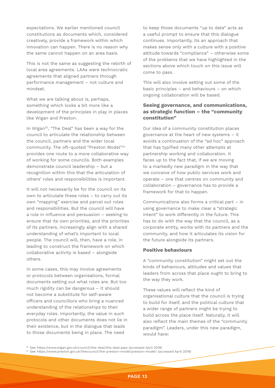expectations. We earlier mentioned council constitutions as documents which, considered creatively, provide a framework within which innovation can happen. There is no reason why the same cannot happen on an area basis.

This is not the same as suggesting the rebirth of local area agreements. LAAs were technocratic agreements that aligned partners through performance management – not culture and mindset.

What we are talking about is, perhaps, something which looks a bit more like a development of the principles in play in places like Wigan and Preston.

In Wigan<sup>22</sup>, "The Deal" has been a way for the council to articulate the relationship between the council, partners and the wider local community. The oft-quoted "Preston Model"23 provides one route to a more collaborative way of working for some councils. Both examples demonstrate council leadership – but a recognition within this that the articulation of others' roles and responsibilities is important.

It will not necessarily be for the council on its own to articulate these roles – to carry out its own "mapping" exercise and parcel out roles and responsibilities. But the council will have a role in influence and persuasion – seeking to ensure that its own priorities, and the priorities of its partners, increasingly align with a shared understanding of what's important to local people. The council will, then, have a role, in leading to construct the framework on which collaborative activity is based – alongside others.

In some cases, this may involve agreements or protocols between organisations, formal documents setting out what roles are. But too much rigidity can be dangerous – it should not become a substitute for self-aware officers and councillors who bring a nuanced understanding of the relationships to their everyday roles. Importantly, the value in such protocols and other documents does not lie in their existence, but in the dialogue that leads to those documents being in place. The need

to keep those documents "up to date" acts as a useful prompt to ensure that this dialogue continues. Importantly, its an approach that makes sense only with a culture with a positive attitude towards "compliance" – otherwise some of the problems that we have highlighted in the sections above which touch on this issue will come to pass.

This will also involve setting out some of the basic principles – and behaviours – on which ongoing collaboration will be based.

## **Seeing governance, and communications, as strategic function – the "community constitution"**

Our idea of a community constitution places governance at the heart of new systems – it avoids a continuation of the "ad hoc" approach that has typified many other attempts at partnership working and collaboration. It faces up to the fact that, if we are moving to a markedly new paradigm in the way that we conceive of how public services work and operate – one that centres on community and collaboration – governance has to provide a framework for that to happen.

Communications also forms a critical part – in using governance to make clear a "strategic intent" to work differently in the future. This has to do with the way that the council, as a corporate entity, works with its partners and the community, and how it articulates its vision for the future alongside its partners.

#### **Positive behaviours**

A "community constitution" might set out the kinds of behaviours, attitudes and values that leaders from across that place ought to bring to the way they work.

These values will reflect the kind of organisational culture that the council is trying to build for itself, and the political culture that a wider range of partners might be trying to build across the place itself. Naturally, it will also reflect the main themes of the "community paradigm". Leaders, under this new paradigm, would have:

<sup>22</sup> See https://www.wigan.gov.uk/council/the-deal/the-deal.aspx (accessed April 2019)

<sup>&</sup>lt;sup>23</sup> See https://www.preston.gov.uk/thecouncil/the-preston-model/preston-model/ (accessed April 2019)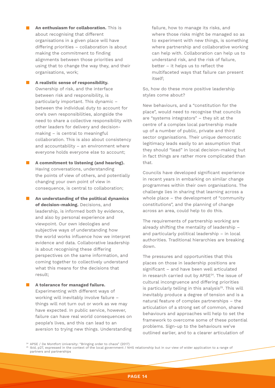**An enthusiasm for collaboration.** This is about recognising that different organisations in a given place will have differing priorities – collaboration is about making the commitment to finding alignments between those priorities and using that to change the way they, and their organisations, work;

**A** realistic sense of responsibility. Ownership of risk, and the interface between risk and responsibility, is particularly important. This dynamic – between the individual duty to account for one's own responsibilities, alongside the need to share a collective responsibility with other leaders for delivery and decisionmaking – is central to meaningful collaboration. This is also about consistency and accountability – an environment where everyone holds everyone else to account;

**A** commitment to listening (and hearing). Having conversations, understanding the points of view of others, and potentially changing your own point of view in consequence, is central to collaboration;

**An understanding of the political dynamics of decision-making.** Decisions, and leadership, is informed both by evidence, and also by personal experience and viewpoint. Our own ideologies and subjective ways of understanding how the world works influence how we interpret evidence and data. Collaborative leadership is about recognising these differing perspectives on the same information, and coming together to collectively understand what this means for the decisions that result;

**A tolerance for managed failure.** Experimenting with different ways of working will inevitably involve failure – things will not turn out or work as we may have expected. In public service, however, failure can have real world consequences on people's lives, and this can lead to an aversion to trying new things. Understanding failure, how to manage its risks, and where those risks might be managed so as to experiment with new things, is something where partnership and collaborative working can help with. Collaboration can help us to understand risk, and the risk of failure, better – it helps us to reflect the multifaceted ways that failure can present itself;

So, how do these more positive leadership styles come about?

New behaviours, and a "constitution for the place", would need to recognise that councils are "systems integrators" – they sit at the centre of a complex local partnership made up of a number of public, private and third sector organisations. Their unique democratic legitimacy leads easily to an assumption that they should "lead" in local decision-making but in fact things are rather more complicated than that.

Councils have developed significant experience in recent years in embarking on similar change programmes within their own organisations. The challenge lies in sharing that learning across a whole place – the development of "community constitutions", and the planning of change across an area, could help to do this.

The requirements of partnership working are already shifting the mentality of leadership – and particularly political leadership – in local authorities. Traditional hierarchies are breaking down.

The pressures and opportunities that this places on those in leadership positions are significant – and have been well articulated in research carried out by APSE24. The issue of cultural incongruence and differing priorities is particularly telling in this analysis<sup>25</sup>. This will inevitably produce a degree of tension and is a natural feature of complex partnerships – the articulation of a strong set of common, shared behaviours and approaches will help to set the framework to overcome some of these potential problems. Sign-up to the behaviours we've outlined earlier, and to a clearer articulation of

<sup>24</sup> APSE / De Montfort University: "Bringing order to chaos" (2017)

<sup>25</sup> Ibid, p27, expressed in the context of the local government / NHS relationship but in our view of wider application to a range of partners and partnerships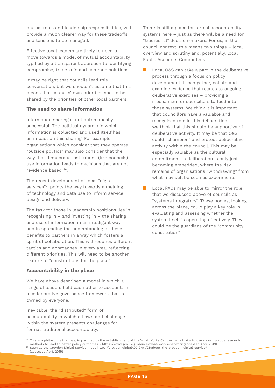mutual roles and leadership responsibilities, will provide a much clearer way for these tradeoffs and tensions to be managed.

Effective local leaders are likely to need to move towards a model of mutual accountability typified by a transparent approach to identifying compromise, trade-offs and common solutions.

It may be right that councils lead this conversation, but we shouldn't assume that this means that councils' own priorities should be shared by the priorities of other local partners.

## **The need to share information**

Information sharing is not automatically successful. The political dynamic in which information is collected and used itself has an impact on this sharing. For example, organisations which consider that they operate "outside politics" may also consider that the way that democratic institutions (like councils) use information leads to decisions that are not "evidence based"26.

The recent development of local "digital services"<sup>27</sup> points the way towards a melding of technology and data use to inform service design and delivery.

The task for those in leadership positions lies in recognising in – and investing in – the sharing and use of information in an intelligent way, and in spreading the understanding of these benefits to partners in a way which fosters a spirit of collaboration. This will requires different tactics and approaches in every area, reflecting different priorities. This will need to be another feature of "constitutions for the place"

### **Accountability in the place**

We have above described a model in which a range of leaders hold each other to account, in a collaborative governance framework that is owned by everyone.

Inevitable, the "distributed" form of accountability in which all own and challenge within the system presents challenges for formal, traditional accountability.

There is still a place for formal accountability systems here – just as there will be a need for "traditional" decision-makers. For us, in the council context, this means two things – local overview and scrutiny and, potentially, local Public Accounts Committees.

Local O&S can take a part in the deliberative process through a focus on policy development. It can gather, collate and examine evidence that relates to ongoing deliberative exercises – providing a mechanism for councillors to feed into those systems. We think it is important that councillors have a valuable and recognised role in this deliberation – we think that this should be supportive of deliberative activity. It may be that O&S could "champion" and protect deliberative activity within the council. This may be especially valuable as the cultural commitment to deliberation is only just becoming embedded, where the risk remains of organisations "withdrawing" from what may still be seen as experiments;

Local PACs may be able to mirror the role that we discussed above of councils as "systems integrators". These bodies, looking across the place, could play a key role in evaluating and assessing whether the system itself is operating effectively. They could be the guardians of the "community constitution".

<sup>27</sup> Such as the Croydon Digital Service – see https://croydon.digital/2019/01/21/about-the-croydon-digital-service/

(accessed April 2019)

<sup>&</sup>lt;sup>26</sup> This is a philosophy that has, in part, led to the establishment of the What Works Centres, which aim to use more rigorous research methods to lead to better policy outcomes - https://www.gov.uk/guidance/what-works-network (accessed April 2019)